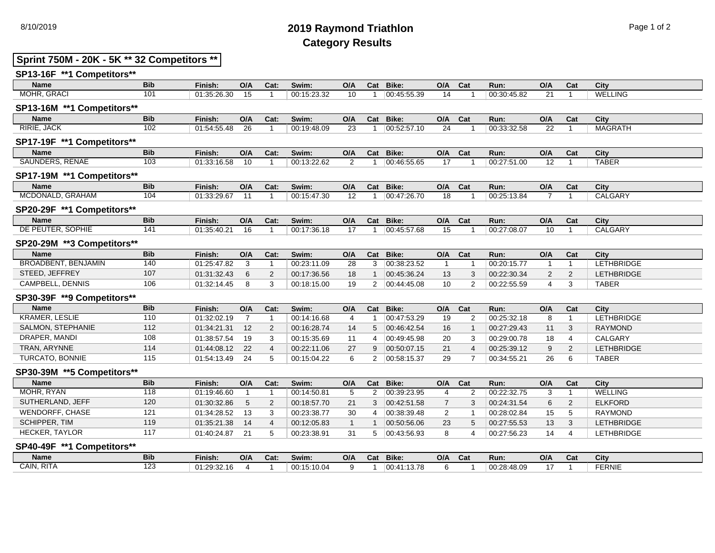# 8/10/2019 **2019 Raymond Triathlon** Page 1 of 2 **Category Results**

# **Sprint 750M - 20K - 5K \*\* 32 Competitors \*\***

| SP13-16F **1 Competitors** |                  |             |                 |                |             |                 |                |             |                |                |             |                         |                |                   |  |
|----------------------------|------------------|-------------|-----------------|----------------|-------------|-----------------|----------------|-------------|----------------|----------------|-------------|-------------------------|----------------|-------------------|--|
| <b>Name</b>                | <b>Bib</b>       | Finish:     | O/A             | Cat:           | Swim:       | O/A             | Cat            | Bike:       | O/A            | Cat            | Run:        | O/A                     | Cat            | City              |  |
| MOHR, GRACI                | 101              | 01:35:26.30 | 15              | $\overline{1}$ | 00:15:23.32 | 10              | $\mathbf{1}$   | 00:45:55.39 | 14             |                | 00:30:45.82 | 21                      | $\mathbf{1}$   | <b>WELLING</b>    |  |
| SP13-16M **1 Competitors** |                  |             |                 |                |             |                 |                |             |                |                |             |                         |                |                   |  |
| <b>Name</b>                | <b>Bib</b>       | Finish:     | O/A             | Cat:           | Swim:       | O/A             | Cat            | Bike:       | O/A            | Cat            | Run:        | O/A                     | Cat            | City              |  |
| <b>RIRIE, JACK</b>         | 102              | 01:54:55.48 | 26              | $\mathbf{1}$   | 00:19:48.09 | 23              | $\mathbf{1}$   | 00:52:57.10 | 24             |                | 00:33:32.58 | 22                      | $\overline{1}$ | <b>MAGRATH</b>    |  |
| SP17-19F **1 Competitors** |                  |             |                 |                |             |                 |                |             |                |                |             |                         |                |                   |  |
| <b>Name</b>                | <b>Bib</b>       | Finish:     | O/A             | Cat:           | Swim:       | O/A             | Cat            | Bike:       | O/A            | Cat            | Run:        | O/A                     | Cat            | City              |  |
| <b>SAUNDERS, RENAE</b>     | $\overline{103}$ | 01:33:16.58 | 10              | $\overline{1}$ | 00:13:22.62 | 2               | -1             | 00:46:55.65 | 17             |                | 00:27:51.00 | 12                      | $\overline{1}$ | <b>TABER</b>      |  |
| SP17-19M **1 Competitors** |                  |             |                 |                |             |                 |                |             |                |                |             |                         |                |                   |  |
| <b>Name</b>                | <b>Bib</b>       | Finish:     | O/A             | Cat:           | Swim:       | O/A             | Cat            | Bike:       | O/A Cat        |                | Run:        | $\mathsf{O}/\mathsf{A}$ | Cat            | City              |  |
| MCDONALD, GRAHAM           | 104              | 01:33:29.67 | 11              | $\overline{1}$ | 00:15:47.30 | 12              | $\mathbf{1}$   | 00:47:26.70 | 18             |                | 00:25:13.84 | $\overline{7}$          | $\mathbf{1}$   | CALGARY           |  |
| SP20-29F **1 Competitors** |                  |             |                 |                |             |                 |                |             |                |                |             |                         |                |                   |  |
| <b>Name</b>                | <b>Bib</b>       | Finish:     | O/A             | Cat:           | Swim:       | O/A             | Cat            | Bike:       | O/A            | Cat            | Run:        | O/A                     | Cat            | City              |  |
| DE PEUTER, SOPHIE          | $\overline{141}$ | 01:35:40.21 | $\overline{16}$ | $\overline{1}$ | 00:17:36.18 | $\overline{17}$ | $\overline{1}$ | 00:45:57.68 | 15             |                | 00:27:08.07 | 10                      | $\overline{1}$ | <b>CALGARY</b>    |  |
| SP20-29M **3 Competitors** |                  |             |                 |                |             |                 |                |             |                |                |             |                         |                |                   |  |
| <b>Name</b>                | <b>Bib</b>       | Finish:     | O/A             | Cat:           | Swim:       | O/A             | Cat            | Bike:       | O/A            | Cat            | Run:        | O/A                     | Cat            | City              |  |
| <b>BROADBENT, BENJAMIN</b> | $\overline{140}$ | 01:25:47.82 | 3               | 1              | 00:23:11.09 | 28              | 3              | 00:38:23.52 | $\overline{1}$ |                | 00:20:15.77 | $\overline{1}$          | $\overline{1}$ | <b>LETHBRIDGE</b> |  |
| STEED, JEFFREY             | 107              | 01:31:32.43 | 6               | $\mathbf{2}$   | 00:17:36.56 | 18              | $\mathbf{1}$   | 00:45:36.24 | 13             | 3              | 00:22:30.34 | 2                       | 2              | <b>LETHBRIDGE</b> |  |
| CAMPBELL, DENNIS           | 106              | 01:32:14.45 | 8               | 3              | 00:18:15.00 | 19              | $\overline{2}$ | 00:44:45.08 | 10             | 2              | 00:22:55.59 | 4                       | 3              | <b>TABER</b>      |  |
| SP30-39F **9 Competitors** |                  |             |                 |                |             |                 |                |             |                |                |             |                         |                |                   |  |
| <b>Name</b>                | <b>Bib</b>       | Finish:     | O/A             | Cat:           | Swim:       | O/A             | Cat            | Bike:       | O/A            | Cat            | Run:        | O/A                     | Cat            | City              |  |
| <b>KRAMER, LESLIE</b>      | 110              | 01:32:02.19 | $\overline{7}$  | $\mathbf 1$    | 00:14:16.68 | $\overline{4}$  | $\mathbf{1}$   | 00:47:53.29 | 19             | 2              | 00:25:32.18 | 8                       | $\mathbf{1}$   | <b>LETHBRIDGE</b> |  |
| SALMON, STEPHANIE          | 112              | 01:34:21.31 | 12              | $\mathbf{2}$   | 00:16:28.74 | 14              | 5              | 00:46:42.54 | 16             |                | 00:27:29.43 | 11                      | 3              | <b>RAYMOND</b>    |  |
| DRAPER, MANDI              | 108              | 01:38:57.54 | 19              | 3              | 00:15:35.69 | 11              | 4              | 00:49:45.98 | 20             | 3              | 00:29:00.78 | 18                      | 4              | <b>CALGARY</b>    |  |
| TRAN, ARYNNE               | 114              | 01:44:08.12 | 22              | $\overline{4}$ | 00:22:11.06 | 27              | 9              | 00:50:07.15 | 21             | $\overline{4}$ | 00:25:39.12 | 9                       | 2              | <b>LETHBRIDGE</b> |  |
| TURCATO, BONNIE            | 115              | 01:54:13.49 | 24              | 5              | 00:15:04.22 | 6               | $\overline{2}$ | 00:58:15.37 | 29             | 7              | 00:34:55.21 | 26                      | 6              | <b>TABER</b>      |  |
| SP30-39M **5 Competitors** |                  |             |                 |                |             |                 |                |             |                |                |             |                         |                |                   |  |
| <b>Name</b>                | <b>Bib</b>       | Finish:     | O/A             | Cat:           | Swim:       | O/A             | Cat            | Bike:       | O/A            | Cat            | Run:        | O/A                     | Cat            | City              |  |
| MOHR, RYAN                 | 118              | 01:19:46.60 | $\overline{1}$  | $\mathbf{1}$   | 00:14:50.81 | $5\phantom{.0}$ | $\overline{2}$ | 00:39:23.95 | 4              | 2              | 00:22:32.75 | 3                       | $\overline{1}$ | <b>WELLING</b>    |  |
| SUTHERLAND, JEFF           | 120              | 01:30:32.86 | 5               | $\mathbf{2}$   | 00:18:57.70 | 21              | 3              | 00:42:51.58 | $\overline{7}$ | 3              | 00:24:31.54 | 6                       | 2              | <b>ELKFORD</b>    |  |
| <b>WENDORFF, CHASE</b>     | 121              | 01:34:28.52 | 13              | 3              | 00:23:38.77 | 30              | 4              | 00:38:39.48 | 2              | -1             | 00:28:02.84 | 15                      | 5              | <b>RAYMOND</b>    |  |
| <b>SCHIPPER, TIM</b>       | 119              | 01:35:21.38 | 14              | $\overline{4}$ | 00:12:05.83 | $\overline{1}$  | 1              | 00:50:56.06 | 23             | 5              | 00:27:55.53 | 13                      | 3              | <b>LETHBRIDGE</b> |  |
| HECKER, TAYLOR             | 117              | 01:40:24.87 | 21              | 5              | 00:23:38.91 | 31              | 5              | 00:43:56.93 | 8              | $\overline{4}$ | 00:27:56.23 | 14                      | $\overline{4}$ | LETHBRIDGE        |  |
| SP40-49F **1 Competitors** |                  |             |                 |                |             |                 |                |             |                |                |             |                         |                |                   |  |
| <b>Name</b>                | <b>Bib</b>       | Finish:     | O/A             | Cat:           | Swim:       | O/A             | Cat            | Bike:       | O/A            | Cat            | Run:        | O/A                     | Cat            | City              |  |
| CAIN, RITA                 | 123              | 01:29:32.16 | $\overline{4}$  | $\overline{1}$ | 00:15:10.04 | 9               | $\mathbf{1}$   | 00:41:13.78 | 6              |                | 00:28:48.09 | 17                      | $\overline{1}$ | <b>FERNIE</b>     |  |